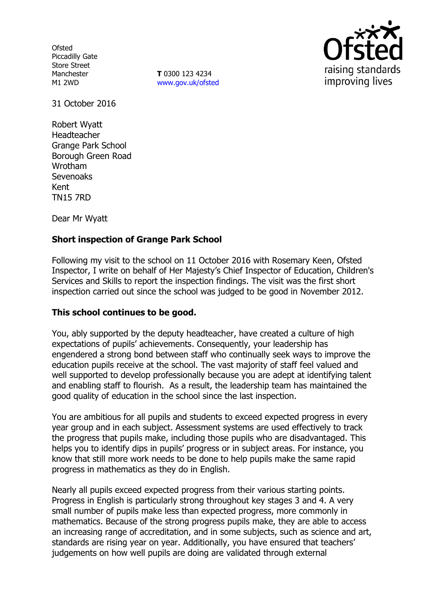**Ofsted** Piccadilly Gate Store Street Manchester M1 2WD

**T** 0300 123 4234 www.gov.uk/ofsted



31 October 2016

Robert Wyatt Headteacher Grange Park School Borough Green Road Wrotham Sevenoaks Kent TN15 7RD

Dear Mr Wyatt

# **Short inspection of Grange Park School**

Following my visit to the school on 11 October 2016 with Rosemary Keen, Ofsted Inspector, I write on behalf of Her Majesty's Chief Inspector of Education, Children's Services and Skills to report the inspection findings. The visit was the first short inspection carried out since the school was judged to be good in November 2012.

#### **This school continues to be good.**

You, ably supported by the deputy headteacher, have created a culture of high expectations of pupils' achievements. Consequently, your leadership has engendered a strong bond between staff who continually seek ways to improve the education pupils receive at the school. The vast majority of staff feel valued and well supported to develop professionally because you are adept at identifying talent and enabling staff to flourish. As a result, the leadership team has maintained the good quality of education in the school since the last inspection.

You are ambitious for all pupils and students to exceed expected progress in every year group and in each subject. Assessment systems are used effectively to track the progress that pupils make, including those pupils who are disadvantaged. This helps you to identify dips in pupils' progress or in subject areas. For instance, you know that still more work needs to be done to help pupils make the same rapid progress in mathematics as they do in English.

Nearly all pupils exceed expected progress from their various starting points. Progress in English is particularly strong throughout key stages 3 and 4. A very small number of pupils make less than expected progress, more commonly in mathematics. Because of the strong progress pupils make, they are able to access an increasing range of accreditation, and in some subjects, such as science and art, standards are rising year on year. Additionally, you have ensured that teachers' judgements on how well pupils are doing are validated through external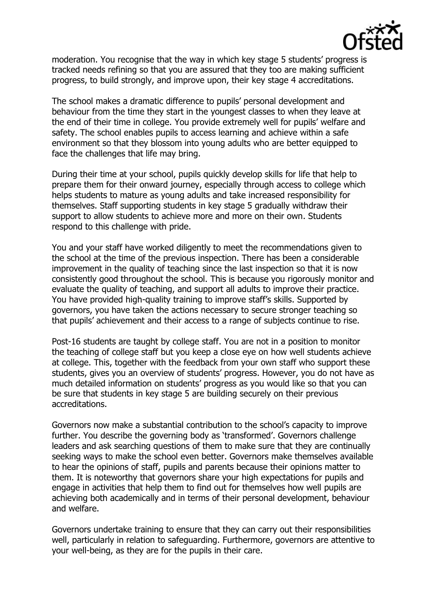

moderation. You recognise that the way in which key stage 5 students' progress is tracked needs refining so that you are assured that they too are making sufficient progress, to build strongly, and improve upon, their key stage 4 accreditations.

The school makes a dramatic difference to pupils' personal development and behaviour from the time they start in the youngest classes to when they leave at the end of their time in college. You provide extremely well for pupils' welfare and safety. The school enables pupils to access learning and achieve within a safe environment so that they blossom into young adults who are better equipped to face the challenges that life may bring.

During their time at your school, pupils quickly develop skills for life that help to prepare them for their onward journey, especially through access to college which helps students to mature as young adults and take increased responsibility for themselves. Staff supporting students in key stage 5 gradually withdraw their support to allow students to achieve more and more on their own. Students respond to this challenge with pride.

You and your staff have worked diligently to meet the recommendations given to the school at the time of the previous inspection. There has been a considerable improvement in the quality of teaching since the last inspection so that it is now consistently good throughout the school. This is because you rigorously monitor and evaluate the quality of teaching, and support all adults to improve their practice. You have provided high-quality training to improve staff's skills. Supported by governors, you have taken the actions necessary to secure stronger teaching so that pupils' achievement and their access to a range of subjects continue to rise.

Post-16 students are taught by college staff. You are not in a position to monitor the teaching of college staff but you keep a close eye on how well students achieve at college. This, together with the feedback from your own staff who support these students, gives you an overview of students' progress. However, you do not have as much detailed information on students' progress as you would like so that you can be sure that students in key stage 5 are building securely on their previous accreditations.

Governors now make a substantial contribution to the school's capacity to improve further. You describe the governing body as 'transformed'. Governors challenge leaders and ask searching questions of them to make sure that they are continually seeking ways to make the school even better. Governors make themselves available to hear the opinions of staff, pupils and parents because their opinions matter to them. It is noteworthy that governors share your high expectations for pupils and engage in activities that help them to find out for themselves how well pupils are achieving both academically and in terms of their personal development, behaviour and welfare.

Governors undertake training to ensure that they can carry out their responsibilities well, particularly in relation to safeguarding. Furthermore, governors are attentive to your well-being, as they are for the pupils in their care.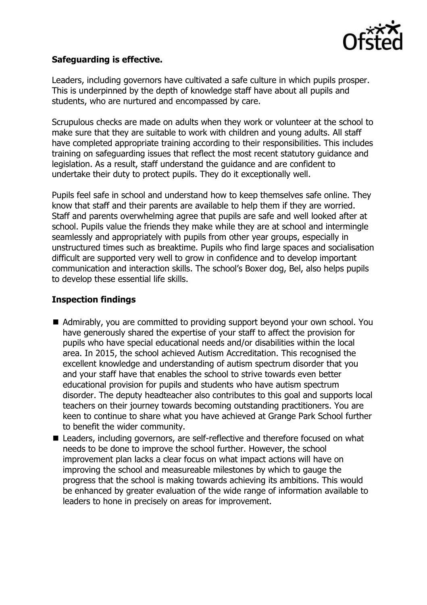

# **Safeguarding is effective.**

Leaders, including governors have cultivated a safe culture in which pupils prosper. This is underpinned by the depth of knowledge staff have about all pupils and students, who are nurtured and encompassed by care.

Scrupulous checks are made on adults when they work or volunteer at the school to make sure that they are suitable to work with children and young adults. All staff have completed appropriate training according to their responsibilities. This includes training on safeguarding issues that reflect the most recent statutory guidance and legislation. As a result, staff understand the guidance and are confident to undertake their duty to protect pupils. They do it exceptionally well.

Pupils feel safe in school and understand how to keep themselves safe online. They know that staff and their parents are available to help them if they are worried. Staff and parents overwhelming agree that pupils are safe and well looked after at school. Pupils value the friends they make while they are at school and intermingle seamlessly and appropriately with pupils from other year groups, especially in unstructured times such as breaktime. Pupils who find large spaces and socialisation difficult are supported very well to grow in confidence and to develop important communication and interaction skills. The school's Boxer dog, Bel, also helps pupils to develop these essential life skills.

# **Inspection findings**

- Admirably, you are committed to providing support beyond your own school. You have generously shared the expertise of your staff to affect the provision for pupils who have special educational needs and/or disabilities within the local area. In 2015, the school achieved Autism Accreditation. This recognised the excellent knowledge and understanding of autism spectrum disorder that you and your staff have that enables the school to strive towards even better educational provision for pupils and students who have autism spectrum disorder. The deputy headteacher also contributes to this goal and supports local teachers on their journey towards becoming outstanding practitioners. You are keen to continue to share what you have achieved at Grange Park School further to benefit the wider community.
- Leaders, including governors, are self-reflective and therefore focused on what needs to be done to improve the school further. However, the school improvement plan lacks a clear focus on what impact actions will have on improving the school and measureable milestones by which to gauge the progress that the school is making towards achieving its ambitions. This would be enhanced by greater evaluation of the wide range of information available to leaders to hone in precisely on areas for improvement.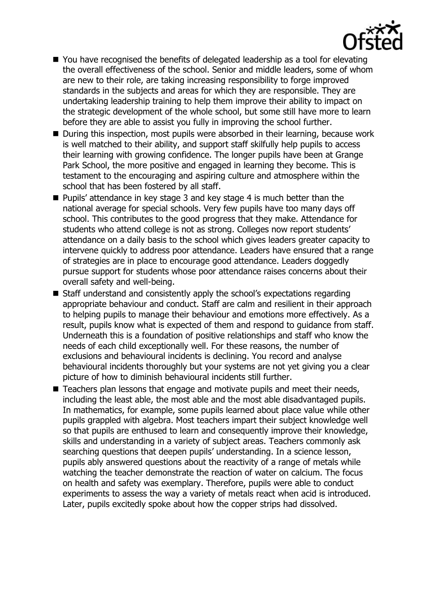

- You have recognised the benefits of delegated leadership as a tool for elevating the overall effectiveness of the school. Senior and middle leaders, some of whom are new to their role, are taking increasing responsibility to forge improved standards in the subjects and areas for which they are responsible. They are undertaking leadership training to help them improve their ability to impact on the strategic development of the whole school, but some still have more to learn before they are able to assist you fully in improving the school further.
- During this inspection, most pupils were absorbed in their learning, because work is well matched to their ability, and support staff skilfully help pupils to access their learning with growing confidence. The longer pupils have been at Grange Park School, the more positive and engaged in learning they become. This is testament to the encouraging and aspiring culture and atmosphere within the school that has been fostered by all staff.
- Pupils' attendance in key stage 3 and key stage 4 is much better than the national average for special schools. Very few pupils have too many days off school. This contributes to the good progress that they make. Attendance for students who attend college is not as strong. Colleges now report students' attendance on a daily basis to the school which gives leaders greater capacity to intervene quickly to address poor attendance. Leaders have ensured that a range of strategies are in place to encourage good attendance. Leaders doggedly pursue support for students whose poor attendance raises concerns about their overall safety and well-being.
- Staff understand and consistently apply the school's expectations regarding appropriate behaviour and conduct. Staff are calm and resilient in their approach to helping pupils to manage their behaviour and emotions more effectively. As a result, pupils know what is expected of them and respond to guidance from staff. Underneath this is a foundation of positive relationships and staff who know the needs of each child exceptionally well. For these reasons, the number of exclusions and behavioural incidents is declining. You record and analyse behavioural incidents thoroughly but your systems are not yet giving you a clear picture of how to diminish behavioural incidents still further.
- Teachers plan lessons that engage and motivate pupils and meet their needs, including the least able, the most able and the most able disadvantaged pupils. In mathematics, for example, some pupils learned about place value while other pupils grappled with algebra. Most teachers impart their subject knowledge well so that pupils are enthused to learn and consequently improve their knowledge, skills and understanding in a variety of subject areas. Teachers commonly ask searching questions that deepen pupils' understanding. In a science lesson, pupils ably answered questions about the reactivity of a range of metals while watching the teacher demonstrate the reaction of water on calcium. The focus on health and safety was exemplary. Therefore, pupils were able to conduct experiments to assess the way a variety of metals react when acid is introduced. Later, pupils excitedly spoke about how the copper strips had dissolved.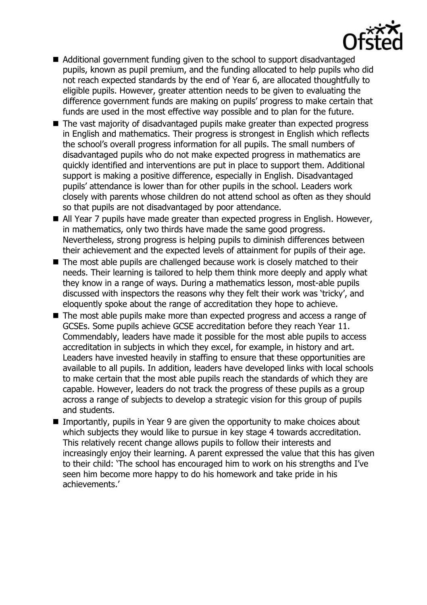

- Additional government funding given to the school to support disadvantaged pupils, known as pupil premium, and the funding allocated to help pupils who did not reach expected standards by the end of Year 6, are allocated thoughtfully to eligible pupils. However, greater attention needs to be given to evaluating the difference government funds are making on pupils' progress to make certain that funds are used in the most effective way possible and to plan for the future.
- The vast majority of disadvantaged pupils make greater than expected progress in English and mathematics. Their progress is strongest in English which reflects the school's overall progress information for all pupils. The small numbers of disadvantaged pupils who do not make expected progress in mathematics are quickly identified and interventions are put in place to support them. Additional support is making a positive difference, especially in English. Disadvantaged pupils' attendance is lower than for other pupils in the school. Leaders work closely with parents whose children do not attend school as often as they should so that pupils are not disadvantaged by poor attendance.
- All Year 7 pupils have made greater than expected progress in English. However, in mathematics, only two thirds have made the same good progress. Nevertheless, strong progress is helping pupils to diminish differences between their achievement and the expected levels of attainment for pupils of their age.
- The most able pupils are challenged because work is closely matched to their needs. Their learning is tailored to help them think more deeply and apply what they know in a range of ways. During a mathematics lesson, most-able pupils discussed with inspectors the reasons why they felt their work was 'tricky', and eloquently spoke about the range of accreditation they hope to achieve.
- The most able pupils make more than expected progress and access a range of GCSEs. Some pupils achieve GCSE accreditation before they reach Year 11. Commendably, leaders have made it possible for the most able pupils to access accreditation in subjects in which they excel, for example, in history and art. Leaders have invested heavily in staffing to ensure that these opportunities are available to all pupils. In addition, leaders have developed links with local schools to make certain that the most able pupils reach the standards of which they are capable. However, leaders do not track the progress of these pupils as a group across a range of subjects to develop a strategic vision for this group of pupils and students.
- Importantly, pupils in Year 9 are given the opportunity to make choices about which subjects they would like to pursue in key stage 4 towards accreditation. This relatively recent change allows pupils to follow their interests and increasingly enjoy their learning. A parent expressed the value that this has given to their child: 'The school has encouraged him to work on his strengths and I've seen him become more happy to do his homework and take pride in his achievements.'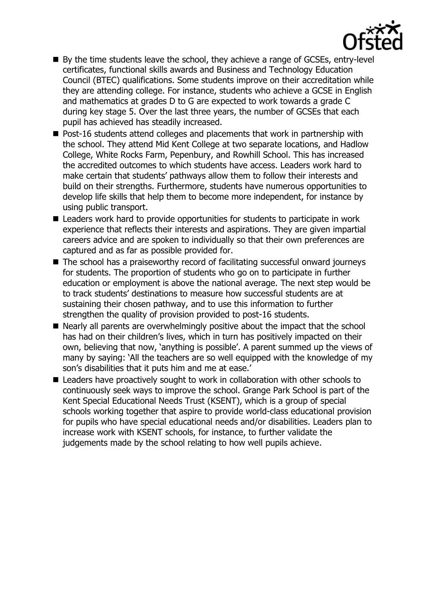

- By the time students leave the school, they achieve a range of GCSEs, entry-level certificates, functional skills awards and Business and Technology Education Council (BTEC) qualifications. Some students improve on their accreditation while they are attending college. For instance, students who achieve a GCSE in English and mathematics at grades D to G are expected to work towards a grade C during key stage 5. Over the last three years, the number of GCSEs that each pupil has achieved has steadily increased.
- Post-16 students attend colleges and placements that work in partnership with the school. They attend Mid Kent College at two separate locations, and Hadlow College, White Rocks Farm, Pepenbury, and Rowhill School. This has increased the accredited outcomes to which students have access. Leaders work hard to make certain that students' pathways allow them to follow their interests and build on their strengths. Furthermore, students have numerous opportunities to develop life skills that help them to become more independent, for instance by using public transport.
- Leaders work hard to provide opportunities for students to participate in work experience that reflects their interests and aspirations. They are given impartial careers advice and are spoken to individually so that their own preferences are captured and as far as possible provided for.
- The school has a praiseworthy record of facilitating successful onward journeys for students. The proportion of students who go on to participate in further education or employment is above the national average. The next step would be to track students' destinations to measure how successful students are at sustaining their chosen pathway, and to use this information to further strengthen the quality of provision provided to post-16 students.
- Nearly all parents are overwhelmingly positive about the impact that the school has had on their children's lives, which in turn has positively impacted on their own, believing that now, 'anything is possible'. A parent summed up the views of many by saying: 'All the teachers are so well equipped with the knowledge of my son's disabilities that it puts him and me at ease.'
- Leaders have proactively sought to work in collaboration with other schools to continuously seek ways to improve the school. Grange Park School is part of the Kent Special Educational Needs Trust (KSENT), which is a group of special schools working together that aspire to provide world-class educational provision for pupils who have special educational needs and/or disabilities. Leaders plan to increase work with KSENT schools, for instance, to further validate the judgements made by the school relating to how well pupils achieve.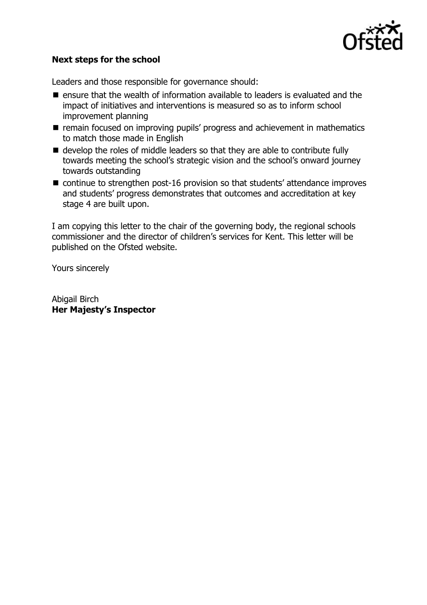

# **Next steps for the school**

Leaders and those responsible for governance should:

- $\blacksquare$  ensure that the wealth of information available to leaders is evaluated and the impact of initiatives and interventions is measured so as to inform school improvement planning
- $\blacksquare$  remain focused on improving pupils' progress and achievement in mathematics to match those made in English
- develop the roles of middle leaders so that they are able to contribute fully towards meeting the school's strategic vision and the school's onward journey towards outstanding
- continue to strengthen post-16 provision so that students' attendance improves and students' progress demonstrates that outcomes and accreditation at key stage 4 are built upon.

I am copying this letter to the chair of the governing body, the regional schools commissioner and the director of children's services for Kent. This letter will be published on the Ofsted website.

Yours sincerely

Abigail Birch **Her Majesty's Inspector**